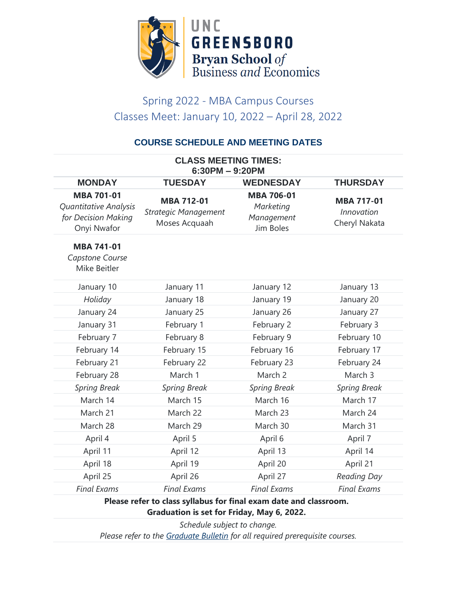

# Spring 2022 - MBA Campus Courses Classes Meet: January 10, 2022 – April 28, 2022

### **COURSE SCHEDULE AND MEETING DATES**

| <b>CLASS MEETING TIMES:</b><br>$6:30PM - 9:20PM$                                 |                                                                   |                                                           |                                                         |
|----------------------------------------------------------------------------------|-------------------------------------------------------------------|-----------------------------------------------------------|---------------------------------------------------------|
| <b>MONDAY</b>                                                                    | <b>TUESDAY</b>                                                    | <b>WEDNESDAY</b>                                          | <b>THURSDAY</b>                                         |
| <b>MBA 701-01</b><br>Quantitative Analysis<br>for Decision Making<br>Onyi Nwafor | <b>MBA 712-01</b><br><b>Strategic Management</b><br>Moses Acquaah | <b>MBA 706-01</b><br>Marketing<br>Management<br>Jim Boles | <b>MBA 717-01</b><br><b>Innovation</b><br>Cheryl Nakata |
| <b>MBA 741-01</b><br>Capstone Course<br>Mike Beitler                             |                                                                   |                                                           |                                                         |
| January 10                                                                       | January 11                                                        | January 12                                                | January 13                                              |
| Holiday                                                                          | January 18                                                        | January 19                                                | January 20                                              |
| January 24                                                                       | January 25                                                        | January 26                                                | January 27                                              |
| January 31                                                                       | February 1                                                        | February 2                                                | February 3                                              |
| February 7                                                                       | February 8                                                        | February 9                                                | February 10                                             |
| February 14                                                                      | February 15                                                       | February 16                                               | February 17                                             |
| February 21                                                                      | February 22                                                       | February 23                                               | February 24                                             |
| February 28                                                                      | March 1                                                           | March 2                                                   | March 3                                                 |
| <b>Spring Break</b>                                                              | <b>Spring Break</b>                                               | <b>Spring Break</b>                                       | <b>Spring Break</b>                                     |
| March 14                                                                         | March 15                                                          | March 16                                                  | March 17                                                |
| March 21                                                                         | March 22                                                          | March 23                                                  | March 24                                                |
| March 28                                                                         | March 29                                                          | March 30                                                  | March 31                                                |
| April 4                                                                          | April 5                                                           | April 6                                                   | April 7                                                 |
| April 11                                                                         | April 12                                                          | April 13                                                  | April 14                                                |
| April 18                                                                         | April 19                                                          | April 20                                                  | April 21                                                |
| April 25                                                                         | April 26                                                          | April 27                                                  | <b>Reading Day</b>                                      |
| <b>Final Exams</b>                                                               | <b>Final Exams</b>                                                | <b>Final Exams</b>                                        | <b>Final Exams</b>                                      |
|                                                                                  |                                                                   |                                                           |                                                         |

### **Please refer to class syllabus for final exam date and classroom. Graduation is set for Friday, May 6, 2022.**

*Schedule subject to change. Please refer to the [Graduate Bulletin](https://grs.uncg.edu/graduatebulletin/) for all required prerequisite courses.*